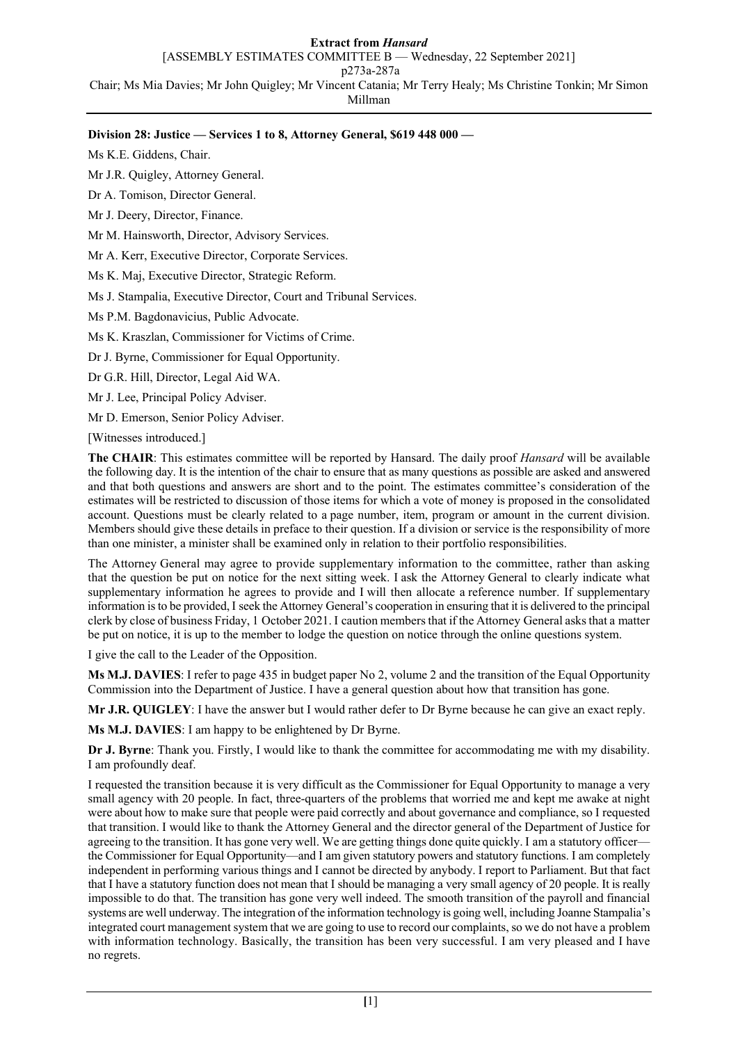# **Extract from** *Hansard*

[ASSEMBLY ESTIMATES COMMITTEE B — Wednesday, 22 September 2021]

p273a-287a

Chair; Ms Mia Davies; Mr John Quigley; Mr Vincent Catania; Mr Terry Healy; Ms Christine Tonkin; Mr Simon

Millman

# **Division 28: Justice — Services 1 to 8, Attorney General, \$619 448 000 —**

Ms K.E. Giddens, Chair.

Mr J.R. Quigley, Attorney General.

Dr A. Tomison, Director General.

Mr J. Deery, Director, Finance.

Mr M. Hainsworth, Director, Advisory Services.

Mr A. Kerr, Executive Director, Corporate Services.

Ms K. Maj, Executive Director, Strategic Reform.

Ms J. Stampalia, Executive Director, Court and Tribunal Services.

Ms P.M. Bagdonavicius, Public Advocate.

Ms K. Kraszlan, Commissioner for Victims of Crime.

Dr J. Byrne, Commissioner for Equal Opportunity.

Dr G.R. Hill, Director, Legal Aid WA.

Mr J. Lee, Principal Policy Adviser.

Mr D. Emerson, Senior Policy Adviser.

[Witnesses introduced.]

**The CHAIR**: This estimates committee will be reported by Hansard. The daily proof *Hansard* will be available the following day. It is the intention of the chair to ensure that as many questions as possible are asked and answered and that both questions and answers are short and to the point. The estimates committee's consideration of the estimates will be restricted to discussion of those items for which a vote of money is proposed in the consolidated account. Questions must be clearly related to a page number, item, program or amount in the current division. Members should give these details in preface to their question. If a division or service is the responsibility of more than one minister, a minister shall be examined only in relation to their portfolio responsibilities.

The Attorney General may agree to provide supplementary information to the committee, rather than asking that the question be put on notice for the next sitting week. I ask the Attorney General to clearly indicate what supplementary information he agrees to provide and I will then allocate a reference number. If supplementary information is to be provided, I seek the Attorney General's cooperation in ensuring that it is delivered to the principal clerk by close of business Friday, 1 October 2021. I caution members that if the Attorney General asks that a matter be put on notice, it is up to the member to lodge the question on notice through the online questions system.

I give the call to the Leader of the Opposition.

**Ms M.J. DAVIES**: I refer to page 435 in budget paper No 2, volume 2 and the transition of the Equal Opportunity Commission into the Department of Justice. I have a general question about how that transition has gone.

**Mr J.R. QUIGLEY**: I have the answer but I would rather defer to Dr Byrne because he can give an exact reply.

**Ms M.J. DAVIES**: I am happy to be enlightened by Dr Byrne.

**Dr J. Byrne**: Thank you. Firstly, I would like to thank the committee for accommodating me with my disability. I am profoundly deaf.

I requested the transition because it is very difficult as the Commissioner for Equal Opportunity to manage a very small agency with 20 people. In fact, three-quarters of the problems that worried me and kept me awake at night were about how to make sure that people were paid correctly and about governance and compliance, so I requested that transition. I would like to thank the Attorney General and the director general of the Department of Justice for agreeing to the transition. It has gone very well. We are getting things done quite quickly. I am a statutory officer the Commissioner for Equal Opportunity—and I am given statutory powers and statutory functions. I am completely independent in performing various things and I cannot be directed by anybody. I report to Parliament. But that fact that I have a statutory function does not mean that I should be managing a very small agency of 20 people. It is really impossible to do that. The transition has gone very well indeed. The smooth transition of the payroll and financial systems are well underway. The integration of the information technology is going well, including Joanne Stampalia's integrated court management system that we are going to use to record our complaints, so we do not have a problem with information technology. Basically, the transition has been very successful. I am very pleased and I have no regrets.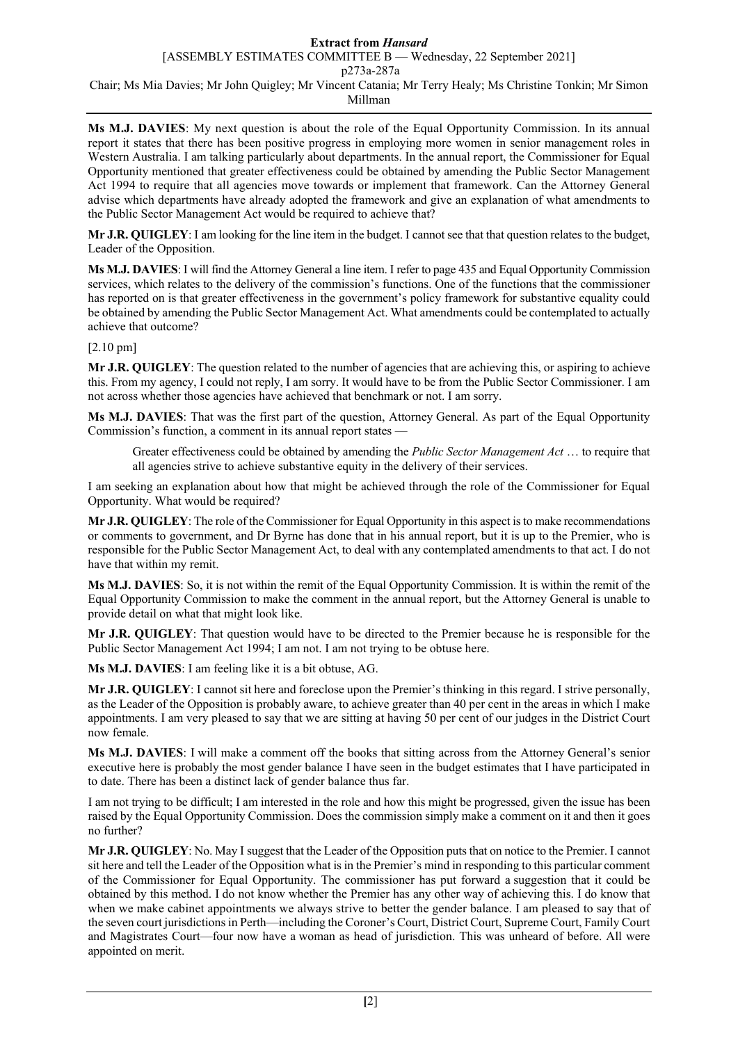#### **Extract from** *Hansard* [ASSEMBLY ESTIMATES COMMITTEE B — Wednesday, 22 September 2021]

p273a-287a

Chair; Ms Mia Davies; Mr John Quigley; Mr Vincent Catania; Mr Terry Healy; Ms Christine Tonkin; Mr Simon Millman

**Ms M.J. DAVIES**: My next question is about the role of the Equal Opportunity Commission. In its annual report it states that there has been positive progress in employing more women in senior management roles in Western Australia. I am talking particularly about departments. In the annual report, the Commissioner for Equal Opportunity mentioned that greater effectiveness could be obtained by amending the Public Sector Management Act 1994 to require that all agencies move towards or implement that framework. Can the Attorney General advise which departments have already adopted the framework and give an explanation of what amendments to the Public Sector Management Act would be required to achieve that?

**Mr J.R. QUIGLEY**: I am looking for the line item in the budget. I cannot see that that question relates to the budget, Leader of the Opposition.

**Ms M.J. DAVIES**: I will find the Attorney General a line item. I refer to page 435 and Equal Opportunity Commission services, which relates to the delivery of the commission's functions. One of the functions that the commissioner has reported on is that greater effectiveness in the government's policy framework for substantive equality could be obtained by amending the Public Sector Management Act. What amendments could be contemplated to actually achieve that outcome?

[2.10 pm]

**Mr J.R. QUIGLEY**: The question related to the number of agencies that are achieving this, or aspiring to achieve this. From my agency, I could not reply, I am sorry. It would have to be from the Public Sector Commissioner. I am not across whether those agencies have achieved that benchmark or not. I am sorry.

**Ms M.J. DAVIES**: That was the first part of the question, Attorney General. As part of the Equal Opportunity Commission's function, a comment in its annual report states —

Greater effectiveness could be obtained by amending the *Public Sector Management Act* … to require that all agencies strive to achieve substantive equity in the delivery of their services.

I am seeking an explanation about how that might be achieved through the role of the Commissioner for Equal Opportunity. What would be required?

**Mr J.R. QUIGLEY**: The role of the Commissioner for Equal Opportunity in this aspect is to make recommendations or comments to government, and Dr Byrne has done that in his annual report, but it is up to the Premier, who is responsible for the Public Sector Management Act, to deal with any contemplated amendments to that act. I do not have that within my remit.

**Ms M.J. DAVIES**: So, it is not within the remit of the Equal Opportunity Commission. It is within the remit of the Equal Opportunity Commission to make the comment in the annual report, but the Attorney General is unable to provide detail on what that might look like.

**Mr J.R. QUIGLEY**: That question would have to be directed to the Premier because he is responsible for the Public Sector Management Act 1994; I am not. I am not trying to be obtuse here.

**Ms M.J. DAVIES**: I am feeling like it is a bit obtuse, AG.

**Mr J.R. QUIGLEY**: I cannot sit here and foreclose upon the Premier's thinking in this regard. I strive personally, as the Leader of the Opposition is probably aware, to achieve greater than 40 per cent in the areas in which I make appointments. I am very pleased to say that we are sitting at having 50 per cent of our judges in the District Court now female.

**Ms M.J. DAVIES**: I will make a comment off the books that sitting across from the Attorney General's senior executive here is probably the most gender balance I have seen in the budget estimates that I have participated in to date. There has been a distinct lack of gender balance thus far.

I am not trying to be difficult; I am interested in the role and how this might be progressed, given the issue has been raised by the Equal Opportunity Commission. Does the commission simply make a comment on it and then it goes no further?

**Mr J.R. QUIGLEY**: No. May I suggest that the Leader of the Opposition puts that on notice to the Premier. I cannot sit here and tell the Leader of the Opposition what is in the Premier's mind in responding to this particular comment of the Commissioner for Equal Opportunity. The commissioner has put forward a suggestion that it could be obtained by this method. I do not know whether the Premier has any other way of achieving this. I do know that when we make cabinet appointments we always strive to better the gender balance. I am pleased to say that of the seven court jurisdictions in Perth—including the Coroner's Court, District Court, Supreme Court, Family Court and Magistrates Court—four now have a woman as head of jurisdiction. This was unheard of before. All were appointed on merit.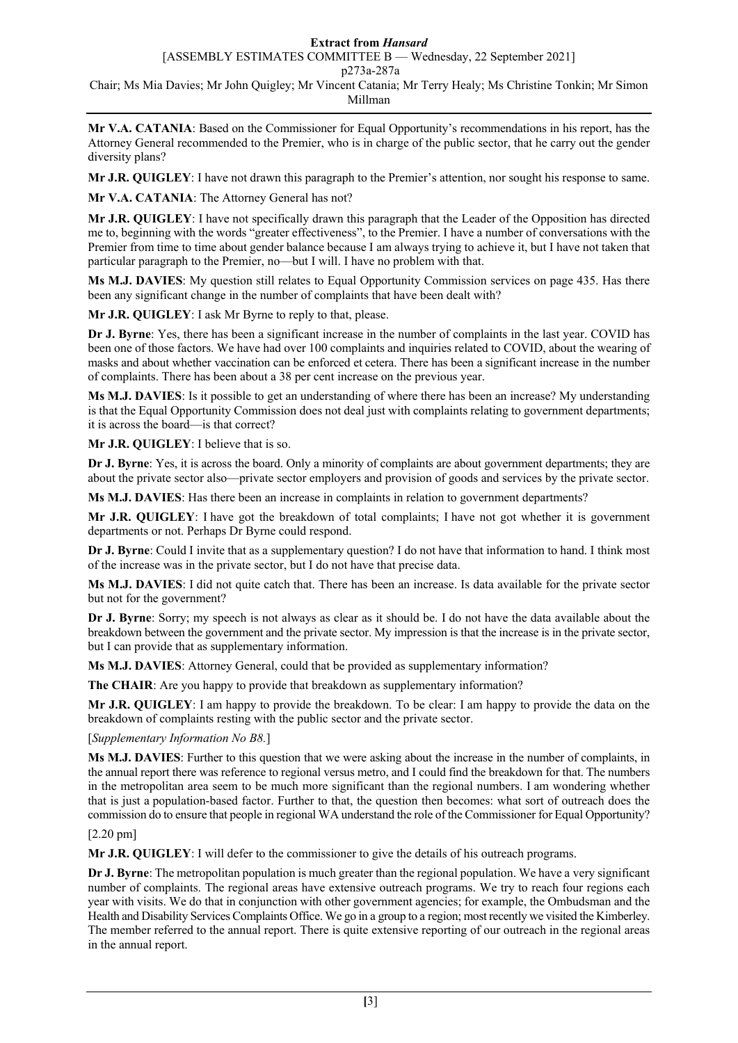## **Extract from** *Hansard*

[ASSEMBLY ESTIMATES COMMITTEE B — Wednesday, 22 September 2021]

p273a-287a

Chair; Ms Mia Davies; Mr John Quigley; Mr Vincent Catania; Mr Terry Healy; Ms Christine Tonkin; Mr Simon Millman

**Mr V.A. CATANIA**: Based on the Commissioner for Equal Opportunity's recommendations in his report, has the Attorney General recommended to the Premier, who is in charge of the public sector, that he carry out the gender diversity plans?

**Mr J.R. QUIGLEY**: I have not drawn this paragraph to the Premier's attention, nor sought his response to same.

**Mr V.A. CATANIA**: The Attorney General has not?

**Mr J.R. QUIGLEY**: I have not specifically drawn this paragraph that the Leader of the Opposition has directed me to, beginning with the words "greater effectiveness", to the Premier. I have a number of conversations with the Premier from time to time about gender balance because I am always trying to achieve it, but I have not taken that particular paragraph to the Premier, no—but I will. I have no problem with that.

**Ms M.J. DAVIES**: My question still relates to Equal Opportunity Commission services on page 435. Has there been any significant change in the number of complaints that have been dealt with?

**Mr J.R. QUIGLEY**: I ask Mr Byrne to reply to that, please.

**Dr J. Byrne**: Yes, there has been a significant increase in the number of complaints in the last year. COVID has been one of those factors. We have had over 100 complaints and inquiries related to COVID, about the wearing of masks and about whether vaccination can be enforced et cetera. There has been a significant increase in the number of complaints. There has been about a 38 per cent increase on the previous year.

**Ms M.J. DAVIES**: Is it possible to get an understanding of where there has been an increase? My understanding is that the Equal Opportunity Commission does not deal just with complaints relating to government departments; it is across the board—is that correct?

**Mr J.R. QUIGLEY**: I believe that is so.

**Dr J. Byrne**: Yes, it is across the board. Only a minority of complaints are about government departments; they are about the private sector also—private sector employers and provision of goods and services by the private sector.

**Ms M.J. DAVIES**: Has there been an increase in complaints in relation to government departments?

**Mr J.R. QUIGLEY**: I have got the breakdown of total complaints; I have not got whether it is government departments or not. Perhaps Dr Byrne could respond.

**Dr J. Byrne**: Could I invite that as a supplementary question? I do not have that information to hand. I think most of the increase was in the private sector, but I do not have that precise data.

**Ms M.J. DAVIES**: I did not quite catch that. There has been an increase. Is data available for the private sector but not for the government?

**Dr J. Byrne**: Sorry; my speech is not always as clear as it should be. I do not have the data available about the breakdown between the government and the private sector. My impression is that the increase is in the private sector, but I can provide that as supplementary information.

**Ms M.J. DAVIES**: Attorney General, could that be provided as supplementary information?

**The CHAIR**: Are you happy to provide that breakdown as supplementary information?

**Mr J.R. QUIGLEY**: I am happy to provide the breakdown. To be clear: I am happy to provide the data on the breakdown of complaints resting with the public sector and the private sector.

[*Supplementary Information No B8.*]

**Ms M.J. DAVIES**: Further to this question that we were asking about the increase in the number of complaints, in the annual report there was reference to regional versus metro, and I could find the breakdown for that. The numbers in the metropolitan area seem to be much more significant than the regional numbers. I am wondering whether that is just a population-based factor. Further to that, the question then becomes: what sort of outreach does the commission do to ensure that people in regional WA understand the role of the Commissioner for Equal Opportunity?

## [2.20 pm]

**Mr J.R. QUIGLEY**: I will defer to the commissioner to give the details of his outreach programs.

**Dr J. Byrne**: The metropolitan population is much greater than the regional population. We have a very significant number of complaints. The regional areas have extensive outreach programs. We try to reach four regions each year with visits. We do that in conjunction with other government agencies; for example, the Ombudsman and the Health and Disability Services Complaints Office. We go in a group to a region; most recently we visited the Kimberley. The member referred to the annual report. There is quite extensive reporting of our outreach in the regional areas in the annual report.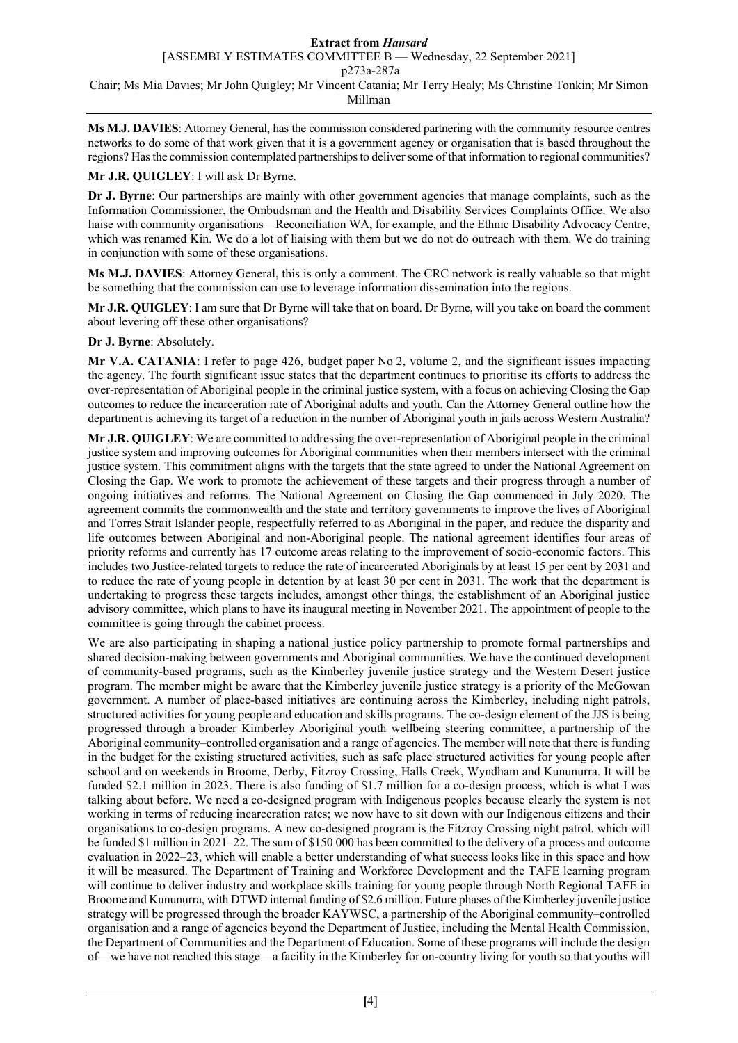**Ms M.J. DAVIES**: Attorney General, has the commission considered partnering with the community resource centres networks to do some of that work given that it is a government agency or organisation that is based throughout the regions? Has the commission contemplated partnerships to deliver some of that information to regional communities?

## **Mr J.R. QUIGLEY**: I will ask Dr Byrne.

**Dr J. Byrne**: Our partnerships are mainly with other government agencies that manage complaints, such as the Information Commissioner, the Ombudsman and the Health and Disability Services Complaints Office. We also liaise with community organisations—Reconciliation WA, for example, and the Ethnic Disability Advocacy Centre, which was renamed Kin. We do a lot of liaising with them but we do not do outreach with them. We do training in conjunction with some of these organisations.

**Ms M.J. DAVIES**: Attorney General, this is only a comment. The CRC network is really valuable so that might be something that the commission can use to leverage information dissemination into the regions.

**Mr J.R. QUIGLEY**: I am sure that Dr Byrne will take that on board. Dr Byrne, will you take on board the comment about levering off these other organisations?

**Dr J. Byrne**: Absolutely.

**Mr V.A. CATANIA**: I refer to page 426, budget paper No 2, volume 2, and the significant issues impacting the agency. The fourth significant issue states that the department continues to prioritise its efforts to address the over-representation of Aboriginal people in the criminal justice system, with a focus on achieving Closing the Gap outcomes to reduce the incarceration rate of Aboriginal adults and youth. Can the Attorney General outline how the department is achieving its target of a reduction in the number of Aboriginal youth in jails across Western Australia?

**Mr J.R. QUIGLEY**: We are committed to addressing the over-representation of Aboriginal people in the criminal justice system and improving outcomes for Aboriginal communities when their members intersect with the criminal justice system. This commitment aligns with the targets that the state agreed to under the National Agreement on Closing the Gap. We work to promote the achievement of these targets and their progress through a number of ongoing initiatives and reforms. The National Agreement on Closing the Gap commenced in July 2020. The agreement commits the commonwealth and the state and territory governments to improve the lives of Aboriginal and Torres Strait Islander people, respectfully referred to as Aboriginal in the paper, and reduce the disparity and life outcomes between Aboriginal and non-Aboriginal people. The national agreement identifies four areas of priority reforms and currently has 17 outcome areas relating to the improvement of socio-economic factors. This includes two Justice-related targets to reduce the rate of incarcerated Aboriginals by at least 15 per cent by 2031 and to reduce the rate of young people in detention by at least 30 per cent in 2031. The work that the department is undertaking to progress these targets includes, amongst other things, the establishment of an Aboriginal justice advisory committee, which plans to have its inaugural meeting in November 2021. The appointment of people to the committee is going through the cabinet process.

We are also participating in shaping a national justice policy partnership to promote formal partnerships and shared decision-making between governments and Aboriginal communities. We have the continued development of community-based programs, such as the Kimberley juvenile justice strategy and the Western Desert justice program. The member might be aware that the Kimberley juvenile justice strategy is a priority of the McGowan government. A number of place-based initiatives are continuing across the Kimberley, including night patrols, structured activities for young people and education and skills programs. The co-design element of the JJS is being progressed through a broader Kimberley Aboriginal youth wellbeing steering committee, a partnership of the Aboriginal community–controlled organisation and a range of agencies. The member will note that there is funding in the budget for the existing structured activities, such as safe place structured activities for young people after school and on weekends in Broome, Derby, Fitzroy Crossing, Halls Creek, Wyndham and Kununurra. It will be funded \$2.1 million in 2023. There is also funding of \$1.7 million for a co-design process, which is what I was talking about before. We need a co-designed program with Indigenous peoples because clearly the system is not working in terms of reducing incarceration rates; we now have to sit down with our Indigenous citizens and their organisations to co-design programs. A new co-designed program is the Fitzroy Crossing night patrol, which will be funded \$1 million in 2021–22. The sum of \$150 000 has been committed to the delivery of a process and outcome evaluation in 2022–23, which will enable a better understanding of what success looks like in this space and how it will be measured. The Department of Training and Workforce Development and the TAFE learning program will continue to deliver industry and workplace skills training for young people through North Regional TAFE in Broome and Kununurra, with DTWD internal funding of \$2.6 million. Future phases of the Kimberley juvenile justice strategy will be progressed through the broader KAYWSC, a partnership of the Aboriginal community–controlled organisation and a range of agencies beyond the Department of Justice, including the Mental Health Commission, the Department of Communities and the Department of Education. Some of these programs will include the design of—we have not reached this stage—a facility in the Kimberley for on-country living for youth so that youths will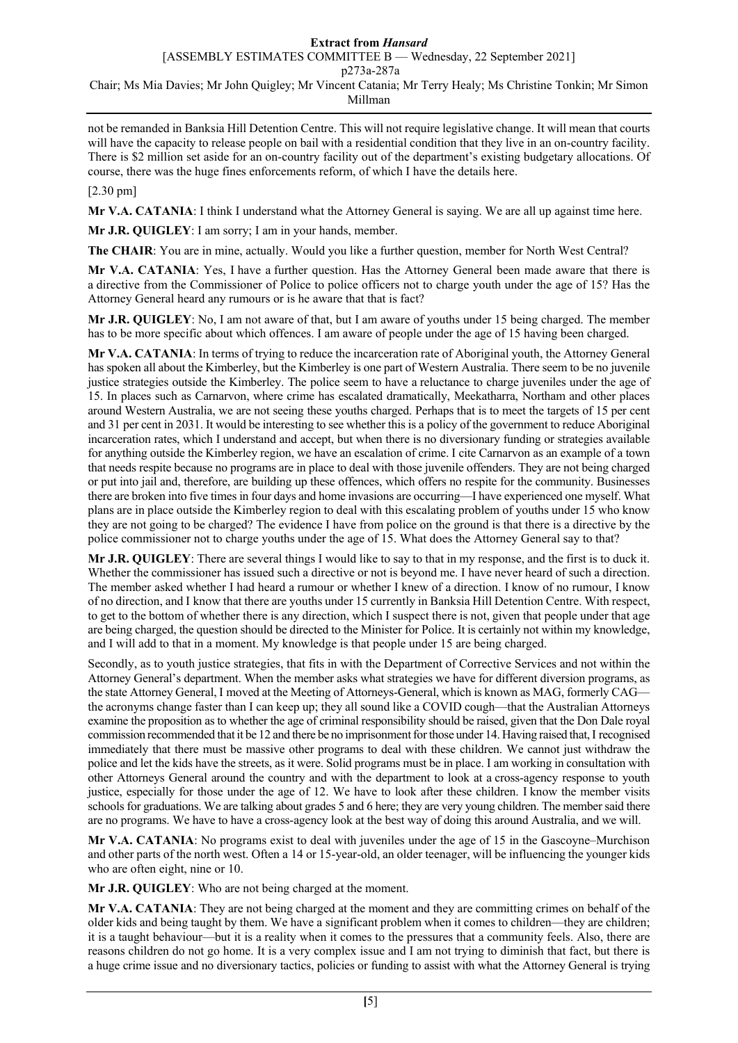Millman

not be remanded in Banksia Hill Detention Centre. This will not require legislative change. It will mean that courts will have the capacity to release people on bail with a residential condition that they live in an on-country facility. There is \$2 million set aside for an on-country facility out of the department's existing budgetary allocations. Of course, there was the huge fines enforcements reform, of which I have the details here.

[2.30 pm]

**Mr V.A. CATANIA:** I think I understand what the Attorney General is saying. We are all up against time here.

**Mr J.R. QUIGLEY**: I am sorry; I am in your hands, member.

**The CHAIR**: You are in mine, actually. Would you like a further question, member for North West Central?

**Mr V.A. CATANIA**: Yes, I have a further question. Has the Attorney General been made aware that there is a directive from the Commissioner of Police to police officers not to charge youth under the age of 15? Has the Attorney General heard any rumours or is he aware that that is fact?

**Mr J.R. QUIGLEY**: No, I am not aware of that, but I am aware of youths under 15 being charged. The member has to be more specific about which offences. I am aware of people under the age of 15 having been charged.

**Mr V.A. CATANIA**: In terms of trying to reduce the incarceration rate of Aboriginal youth, the Attorney General has spoken all about the Kimberley, but the Kimberley is one part of Western Australia. There seem to be no juvenile justice strategies outside the Kimberley. The police seem to have a reluctance to charge juveniles under the age of 15. In places such as Carnarvon, where crime has escalated dramatically, Meekatharra, Northam and other places around Western Australia, we are not seeing these youths charged. Perhaps that is to meet the targets of 15 per cent and 31 per cent in 2031. It would be interesting to see whether this is a policy of the government to reduce Aboriginal incarceration rates, which I understand and accept, but when there is no diversionary funding or strategies available for anything outside the Kimberley region, we have an escalation of crime. I cite Carnarvon as an example of a town that needs respite because no programs are in place to deal with those juvenile offenders. They are not being charged or put into jail and, therefore, are building up these offences, which offers no respite for the community. Businesses there are broken into five times in four days and home invasions are occurring—I have experienced one myself. What plans are in place outside the Kimberley region to deal with this escalating problem of youths under 15 who know they are not going to be charged? The evidence I have from police on the ground is that there is a directive by the police commissioner not to charge youths under the age of 15. What does the Attorney General say to that?

**Mr J.R. QUIGLEY**: There are several things I would like to say to that in my response, and the first is to duck it. Whether the commissioner has issued such a directive or not is beyond me. I have never heard of such a direction. The member asked whether I had heard a rumour or whether I knew of a direction. I know of no rumour, I know of no direction, and I know that there are youths under 15 currently in Banksia Hill Detention Centre. With respect, to get to the bottom of whether there is any direction, which I suspect there is not, given that people under that age are being charged, the question should be directed to the Minister for Police. It is certainly not within my knowledge, and I will add to that in a moment. My knowledge is that people under 15 are being charged.

Secondly, as to youth justice strategies, that fits in with the Department of Corrective Services and not within the Attorney General's department. When the member asks what strategies we have for different diversion programs, as the state Attorney General, I moved at the Meeting of Attorneys-General, which is known as MAG, formerly CAG the acronyms change faster than I can keep up; they all sound like a COVID cough—that the Australian Attorneys examine the proposition as to whether the age of criminal responsibility should be raised, given that the Don Dale royal commission recommended that it be 12 and there be no imprisonment for those under 14. Having raised that, I recognised immediately that there must be massive other programs to deal with these children. We cannot just withdraw the police and let the kids have the streets, as it were. Solid programs must be in place. I am working in consultation with other Attorneys General around the country and with the department to look at a cross-agency response to youth justice, especially for those under the age of 12. We have to look after these children. I know the member visits schools for graduations. We are talking about grades 5 and 6 here; they are very young children. The member said there are no programs. We have to have a cross-agency look at the best way of doing this around Australia, and we will.

**Mr V.A. CATANIA:** No programs exist to deal with juveniles under the age of 15 in the Gascoyne–Murchison and other parts of the north west. Often a 14 or 15-year-old, an older teenager, will be influencing the younger kids who are often eight, nine or 10.

**Mr J.R. QUIGLEY**: Who are not being charged at the moment.

**Mr V.A. CATANIA**: They are not being charged at the moment and they are committing crimes on behalf of the older kids and being taught by them. We have a significant problem when it comes to children—they are children; it is a taught behaviour—but it is a reality when it comes to the pressures that a community feels. Also, there are reasons children do not go home. It is a very complex issue and I am not trying to diminish that fact, but there is a huge crime issue and no diversionary tactics, policies or funding to assist with what the Attorney General is trying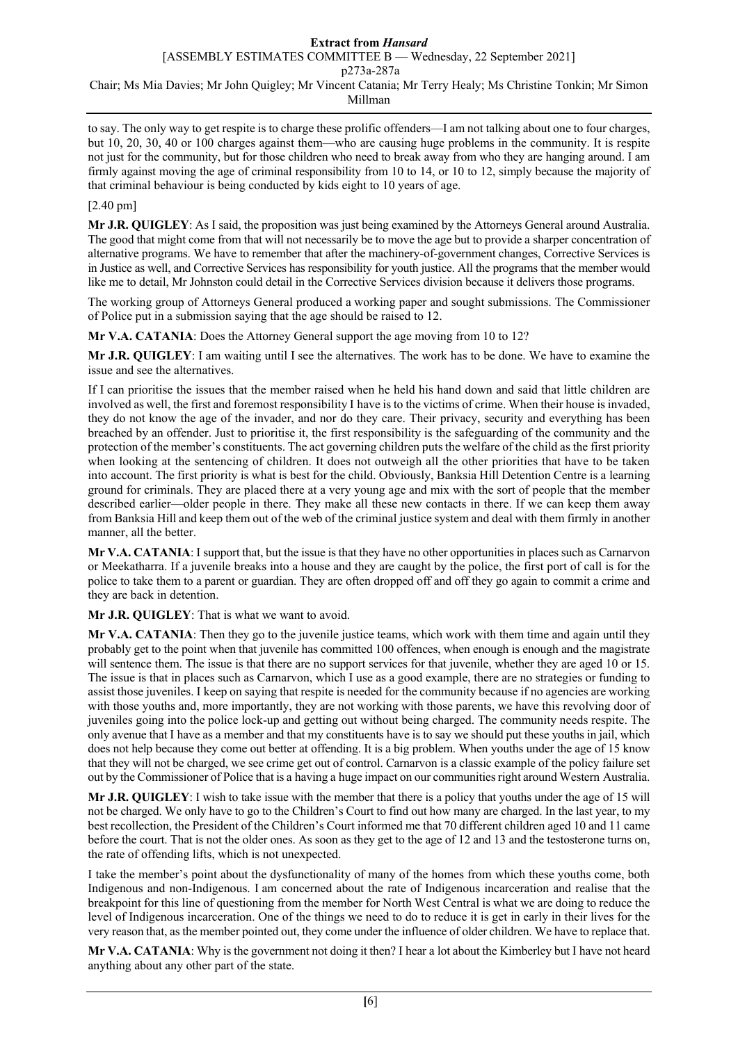# **Extract from** *Hansard*

[ASSEMBLY ESTIMATES COMMITTEE B — Wednesday, 22 September 2021]

p273a-287a

Chair; Ms Mia Davies; Mr John Quigley; Mr Vincent Catania; Mr Terry Healy; Ms Christine Tonkin; Mr Simon Millman

to say. The only way to get respite is to charge these prolific offenders—I am not talking about one to four charges, but 10, 20, 30, 40 or 100 charges against them—who are causing huge problems in the community. It is respite not just for the community, but for those children who need to break away from who they are hanging around. I am firmly against moving the age of criminal responsibility from 10 to 14, or 10 to 12, simply because the majority of that criminal behaviour is being conducted by kids eight to 10 years of age.

# [2.40 pm]

**Mr J.R. QUIGLEY**: As I said, the proposition was just being examined by the Attorneys General around Australia. The good that might come from that will not necessarily be to move the age but to provide a sharper concentration of alternative programs. We have to remember that after the machinery-of-government changes, Corrective Services is in Justice as well, and Corrective Services has responsibility for youth justice. All the programs that the member would like me to detail, Mr Johnston could detail in the Corrective Services division because it delivers those programs.

The working group of Attorneys General produced a working paper and sought submissions. The Commissioner of Police put in a submission saying that the age should be raised to 12.

**Mr V.A. CATANIA**: Does the Attorney General support the age moving from 10 to 12?

**Mr J.R. QUIGLEY**: I am waiting until I see the alternatives. The work has to be done. We have to examine the issue and see the alternatives.

If I can prioritise the issues that the member raised when he held his hand down and said that little children are involved as well, the first and foremost responsibility I have is to the victims of crime. When their house is invaded, they do not know the age of the invader, and nor do they care. Their privacy, security and everything has been breached by an offender. Just to prioritise it, the first responsibility is the safeguarding of the community and the protection of the member's constituents. The act governing children puts the welfare of the child as the first priority when looking at the sentencing of children. It does not outweigh all the other priorities that have to be taken into account. The first priority is what is best for the child. Obviously, Banksia Hill Detention Centre is a learning ground for criminals. They are placed there at a very young age and mix with the sort of people that the member described earlier—older people in there. They make all these new contacts in there. If we can keep them away from Banksia Hill and keep them out of the web of the criminal justice system and deal with them firmly in another manner, all the better.

**Mr V.A. CATANIA**: I support that, but the issue is that they have no other opportunities in places such as Carnarvon or Meekatharra. If a juvenile breaks into a house and they are caught by the police, the first port of call is for the police to take them to a parent or guardian. They are often dropped off and off they go again to commit a crime and they are back in detention.

**Mr J.R. QUIGLEY**: That is what we want to avoid.

**Mr V.A. CATANIA**: Then they go to the juvenile justice teams, which work with them time and again until they probably get to the point when that juvenile has committed 100 offences, when enough is enough and the magistrate will sentence them. The issue is that there are no support services for that juvenile, whether they are aged 10 or 15. The issue is that in places such as Carnarvon, which I use as a good example, there are no strategies or funding to assist those juveniles. I keep on saying that respite is needed for the community because if no agencies are working with those youths and, more importantly, they are not working with those parents, we have this revolving door of juveniles going into the police lock-up and getting out without being charged. The community needs respite. The only avenue that I have as a member and that my constituents have is to say we should put these youths in jail, which does not help because they come out better at offending. It is a big problem. When youths under the age of 15 know that they will not be charged, we see crime get out of control. Carnarvon is a classic example of the policy failure set out by the Commissioner of Police that is a having a huge impact on our communities right around Western Australia.

**Mr J.R. QUIGLEY**: I wish to take issue with the member that there is a policy that youths under the age of 15 will not be charged. We only have to go to the Children's Court to find out how many are charged. In the last year, to my best recollection, the President of the Children's Court informed me that 70 different children aged 10 and 11 came before the court. That is not the older ones. As soon as they get to the age of 12 and 13 and the testosterone turns on, the rate of offending lifts, which is not unexpected.

I take the member's point about the dysfunctionality of many of the homes from which these youths come, both Indigenous and non-Indigenous. I am concerned about the rate of Indigenous incarceration and realise that the breakpoint for this line of questioning from the member for North West Central is what we are doing to reduce the level of Indigenous incarceration. One of the things we need to do to reduce it is get in early in their lives for the very reason that, as the member pointed out, they come under the influence of older children. We have to replace that.

**Mr V.A. CATANIA**: Why is the government not doing it then? I hear a lot about the Kimberley but I have not heard anything about any other part of the state.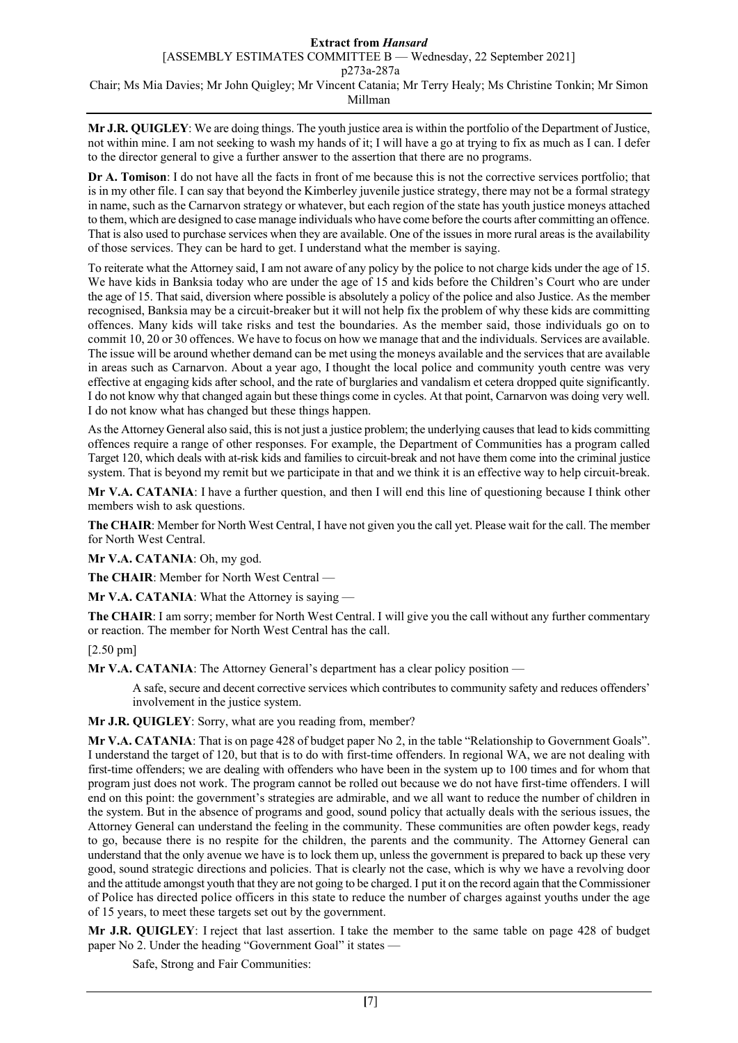**Mr J.R. QUIGLEY**: We are doing things. The youth justice area is within the portfolio of the Department of Justice, not within mine. I am not seeking to wash my hands of it; I will have a go at trying to fix as much as I can. I defer to the director general to give a further answer to the assertion that there are no programs.

**Dr A. Tomison**: I do not have all the facts in front of me because this is not the corrective services portfolio; that is in my other file. I can say that beyond the Kimberley juvenile justice strategy, there may not be a formal strategy in name, such as the Carnarvon strategy or whatever, but each region of the state has youth justice moneys attached to them, which are designed to case manage individuals who have come before the courts after committing an offence. That is also used to purchase services when they are available. One of the issues in more rural areas is the availability of those services. They can be hard to get. I understand what the member is saying.

To reiterate what the Attorney said, I am not aware of any policy by the police to not charge kids under the age of 15. We have kids in Banksia today who are under the age of 15 and kids before the Children's Court who are under the age of 15. That said, diversion where possible is absolutely a policy of the police and also Justice. As the member recognised, Banksia may be a circuit-breaker but it will not help fix the problem of why these kids are committing offences. Many kids will take risks and test the boundaries. As the member said, those individuals go on to commit 10, 20 or 30 offences. We have to focus on how we manage that and the individuals. Services are available. The issue will be around whether demand can be met using the moneys available and the services that are available in areas such as Carnarvon. About a year ago, I thought the local police and community youth centre was very effective at engaging kids after school, and the rate of burglaries and vandalism et cetera dropped quite significantly. I do not know why that changed again but these things come in cycles. At that point, Carnarvon was doing very well. I do not know what has changed but these things happen.

As the Attorney General also said, this is not just a justice problem; the underlying causes that lead to kids committing offences require a range of other responses. For example, the Department of Communities has a program called Target 120, which deals with at-risk kids and families to circuit-break and not have them come into the criminal justice system. That is beyond my remit but we participate in that and we think it is an effective way to help circuit-break.

**Mr V.A. CATANIA**: I have a further question, and then I will end this line of questioning because I think other members wish to ask questions.

**The CHAIR**: Member for North West Central, I have not given you the call yet. Please wait for the call. The member for North West Central.

**Mr V.A. CATANIA**: Oh, my god.

**The CHAIR**: Member for North West Central —

**Mr V.A. CATANIA**: What the Attorney is saying —

**The CHAIR**: I am sorry; member for North West Central. I will give you the call without any further commentary or reaction. The member for North West Central has the call.

[2.50 pm]

**Mr V.A. CATANIA**: The Attorney General's department has a clear policy position —

A safe, secure and decent corrective services which contributes to community safety and reduces offenders' involvement in the justice system.

**Mr J.R. QUIGLEY**: Sorry, what are you reading from, member?

**Mr V.A. CATANIA**: That is on page 428 of budget paper No 2, in the table "Relationship to Government Goals". I understand the target of 120, but that is to do with first-time offenders. In regional WA, we are not dealing with first-time offenders; we are dealing with offenders who have been in the system up to 100 times and for whom that program just does not work. The program cannot be rolled out because we do not have first-time offenders. I will end on this point: the government's strategies are admirable, and we all want to reduce the number of children in the system. But in the absence of programs and good, sound policy that actually deals with the serious issues, the Attorney General can understand the feeling in the community. These communities are often powder kegs, ready to go, because there is no respite for the children, the parents and the community. The Attorney General can understand that the only avenue we have is to lock them up, unless the government is prepared to back up these very good, sound strategic directions and policies. That is clearly not the case, which is why we have a revolving door and the attitude amongst youth that they are not going to be charged. I put it on the record again that the Commissioner of Police has directed police officers in this state to reduce the number of charges against youths under the age of 15 years, to meet these targets set out by the government.

**Mr J.R. QUIGLEY**: I reject that last assertion. I take the member to the same table on page 428 of budget paper No 2. Under the heading "Government Goal" it states -

Safe, Strong and Fair Communities: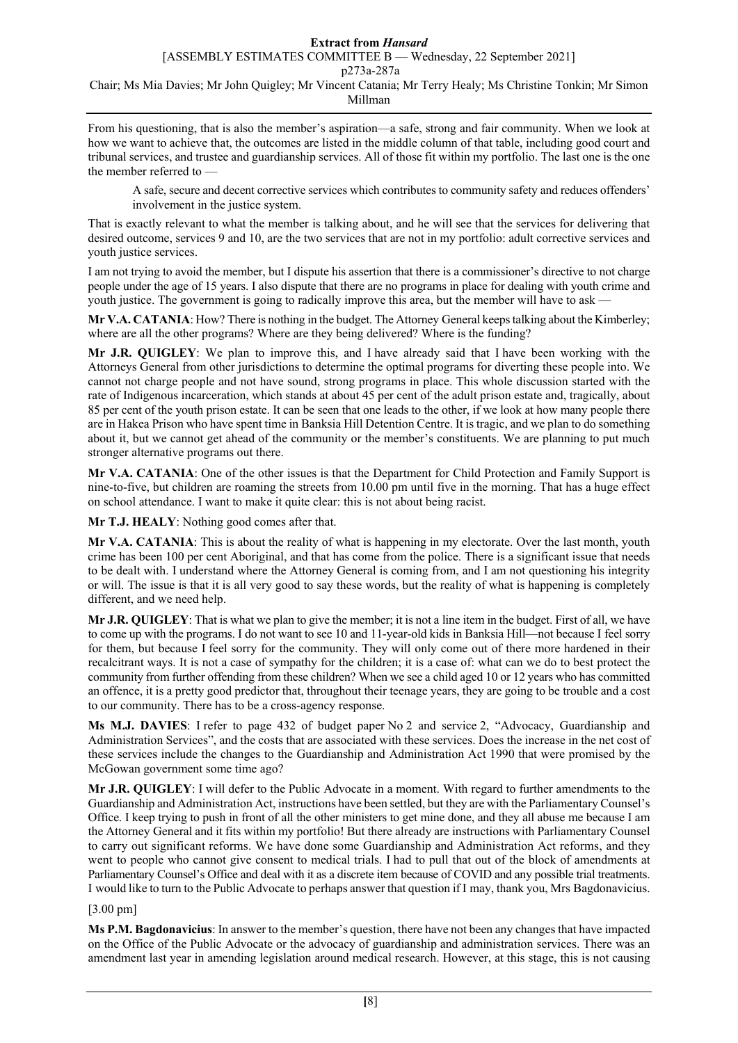From his questioning, that is also the member's aspiration—a safe, strong and fair community. When we look at how we want to achieve that, the outcomes are listed in the middle column of that table, including good court and tribunal services, and trustee and guardianship services. All of those fit within my portfolio. The last one is the one the member referred to -

A safe, secure and decent corrective services which contributes to community safety and reduces offenders' involvement in the justice system.

That is exactly relevant to what the member is talking about, and he will see that the services for delivering that desired outcome, services 9 and 10, are the two services that are not in my portfolio: adult corrective services and youth justice services.

I am not trying to avoid the member, but I dispute his assertion that there is a commissioner's directive to not charge people under the age of 15 years. I also dispute that there are no programs in place for dealing with youth crime and youth justice. The government is going to radically improve this area, but the member will have to ask –

**Mr V.A. CATANIA**: How? There is nothing in the budget. The Attorney General keeps talking about the Kimberley; where are all the other programs? Where are they being delivered? Where is the funding?

**Mr J.R. QUIGLEY**: We plan to improve this, and I have already said that I have been working with the Attorneys General from other jurisdictions to determine the optimal programs for diverting these people into. We cannot not charge people and not have sound, strong programs in place. This whole discussion started with the rate of Indigenous incarceration, which stands at about 45 per cent of the adult prison estate and, tragically, about 85 per cent of the youth prison estate. It can be seen that one leads to the other, if we look at how many people there are in Hakea Prison who have spent time in Banksia Hill Detention Centre. It is tragic, and we plan to do something about it, but we cannot get ahead of the community or the member's constituents. We are planning to put much stronger alternative programs out there.

**Mr V.A. CATANIA**: One of the other issues is that the Department for Child Protection and Family Support is nine-to-five, but children are roaming the streets from 10.00 pm until five in the morning. That has a huge effect on school attendance. I want to make it quite clear: this is not about being racist.

**Mr T.J. HEALY**: Nothing good comes after that.

**Mr V.A. CATANIA**: This is about the reality of what is happening in my electorate. Over the last month, youth crime has been 100 per cent Aboriginal, and that has come from the police. There is a significant issue that needs to be dealt with. I understand where the Attorney General is coming from, and I am not questioning his integrity or will. The issue is that it is all very good to say these words, but the reality of what is happening is completely different, and we need help.

**Mr J.R. QUIGLEY**: That is what we plan to give the member; it is not a line item in the budget. First of all, we have to come up with the programs. I do not want to see 10 and 11-year-old kids in Banksia Hill—not because I feel sorry for them, but because I feel sorry for the community. They will only come out of there more hardened in their recalcitrant ways. It is not a case of sympathy for the children; it is a case of: what can we do to best protect the community from further offending from these children? When we see a child aged 10 or 12 years who has committed an offence, it is a pretty good predictor that, throughout their teenage years, they are going to be trouble and a cost to our community. There has to be a cross-agency response.

**Ms M.J. DAVIES**: I refer to page 432 of budget paper No 2 and service 2, "Advocacy, Guardianship and Administration Services", and the costs that are associated with these services. Does the increase in the net cost of these services include the changes to the Guardianship and Administration Act 1990 that were promised by the McGowan government some time ago?

**Mr J.R. QUIGLEY**: I will defer to the Public Advocate in a moment. With regard to further amendments to the Guardianship and Administration Act, instructions have been settled, but they are with the Parliamentary Counsel's Office. I keep trying to push in front of all the other ministers to get mine done, and they all abuse me because I am the Attorney General and it fits within my portfolio! But there already are instructions with Parliamentary Counsel to carry out significant reforms. We have done some Guardianship and Administration Act reforms, and they went to people who cannot give consent to medical trials. I had to pull that out of the block of amendments at Parliamentary Counsel's Office and deal with it as a discrete item because of COVID and any possible trial treatments. I would like to turn to the Public Advocate to perhaps answer that question if I may, thank you, Mrs Bagdonavicius.

# [3.00 pm]

**Ms P.M. Bagdonavicius**: In answer to the member's question, there have not been any changes that have impacted on the Office of the Public Advocate or the advocacy of guardianship and administration services. There was an amendment last year in amending legislation around medical research. However, at this stage, this is not causing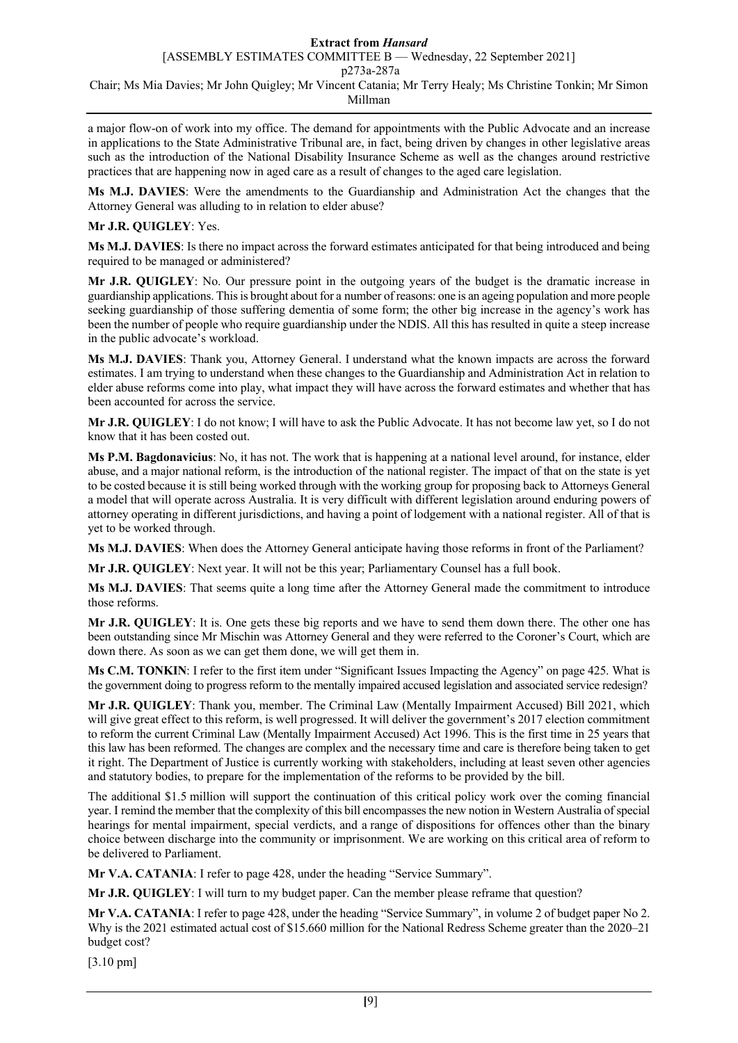### **Extract from** *Hansard* [ASSEMBLY ESTIMATES COMMITTEE B — Wednesday, 22 September 2021] p273a-287a

Chair; Ms Mia Davies; Mr John Quigley; Mr Vincent Catania; Mr Terry Healy; Ms Christine Tonkin; Mr Simon Millman

a major flow-on of work into my office. The demand for appointments with the Public Advocate and an increase in applications to the State Administrative Tribunal are, in fact, being driven by changes in other legislative areas such as the introduction of the National Disability Insurance Scheme as well as the changes around restrictive practices that are happening now in aged care as a result of changes to the aged care legislation.

**Ms M.J. DAVIES**: Were the amendments to the Guardianship and Administration Act the changes that the Attorney General was alluding to in relation to elder abuse?

# **Mr J.R. QUIGLEY**: Yes.

**Ms M.J. DAVIES**: Is there no impact across the forward estimates anticipated for that being introduced and being required to be managed or administered?

**Mr J.R. QUIGLEY**: No. Our pressure point in the outgoing years of the budget is the dramatic increase in guardianship applications. This is brought about for a number of reasons: one is an ageing population and more people seeking guardianship of those suffering dementia of some form; the other big increase in the agency's work has been the number of people who require guardianship under the NDIS. All this has resulted in quite a steep increase in the public advocate's workload.

**Ms M.J. DAVIES**: Thank you, Attorney General. I understand what the known impacts are across the forward estimates. I am trying to understand when these changes to the Guardianship and Administration Act in relation to elder abuse reforms come into play, what impact they will have across the forward estimates and whether that has been accounted for across the service.

**Mr J.R. QUIGLEY**: I do not know; I will have to ask the Public Advocate. It has not become law yet, so I do not know that it has been costed out.

**Ms P.M. Bagdonavicius**: No, it has not. The work that is happening at a national level around, for instance, elder abuse, and a major national reform, is the introduction of the national register. The impact of that on the state is yet to be costed because it is still being worked through with the working group for proposing back to Attorneys General a model that will operate across Australia. It is very difficult with different legislation around enduring powers of attorney operating in different jurisdictions, and having a point of lodgement with a national register. All of that is yet to be worked through.

**Ms M.J. DAVIES**: When does the Attorney General anticipate having those reforms in front of the Parliament?

**Mr J.R. QUIGLEY**: Next year. It will not be this year; Parliamentary Counsel has a full book.

**Ms M.J. DAVIES**: That seems quite a long time after the Attorney General made the commitment to introduce those reforms.

**Mr J.R. QUIGLEY**: It is. One gets these big reports and we have to send them down there. The other one has been outstanding since Mr Mischin was Attorney General and they were referred to the Coroner's Court, which are down there. As soon as we can get them done, we will get them in.

**Ms C.M. TONKIN**: I refer to the first item under "Significant Issues Impacting the Agency" on page 425. What is the government doing to progress reform to the mentally impaired accused legislation and associated service redesign?

**Mr J.R. QUIGLEY**: Thank you, member. The Criminal Law (Mentally Impairment Accused) Bill 2021, which will give great effect to this reform, is well progressed. It will deliver the government's 2017 election commitment to reform the current Criminal Law (Mentally Impairment Accused) Act 1996. This is the first time in 25 years that this law has been reformed. The changes are complex and the necessary time and care is therefore being taken to get it right. The Department of Justice is currently working with stakeholders, including at least seven other agencies and statutory bodies, to prepare for the implementation of the reforms to be provided by the bill.

The additional \$1.5 million will support the continuation of this critical policy work over the coming financial year. I remind the member that the complexity of this bill encompasses the new notion in Western Australia of special hearings for mental impairment, special verdicts, and a range of dispositions for offences other than the binary choice between discharge into the community or imprisonment. We are working on this critical area of reform to be delivered to Parliament.

**Mr V.A. CATANIA**: I refer to page 428, under the heading "Service Summary".

**Mr J.R. QUIGLEY**: I will turn to my budget paper. Can the member please reframe that question?

**Mr V.A. CATANIA**: I refer to page 428, under the heading "Service Summary", in volume 2 of budget paper No 2. Why is the 2021 estimated actual cost of \$15.660 million for the National Redress Scheme greater than the 2020–21 budget cost?

[3.10 pm]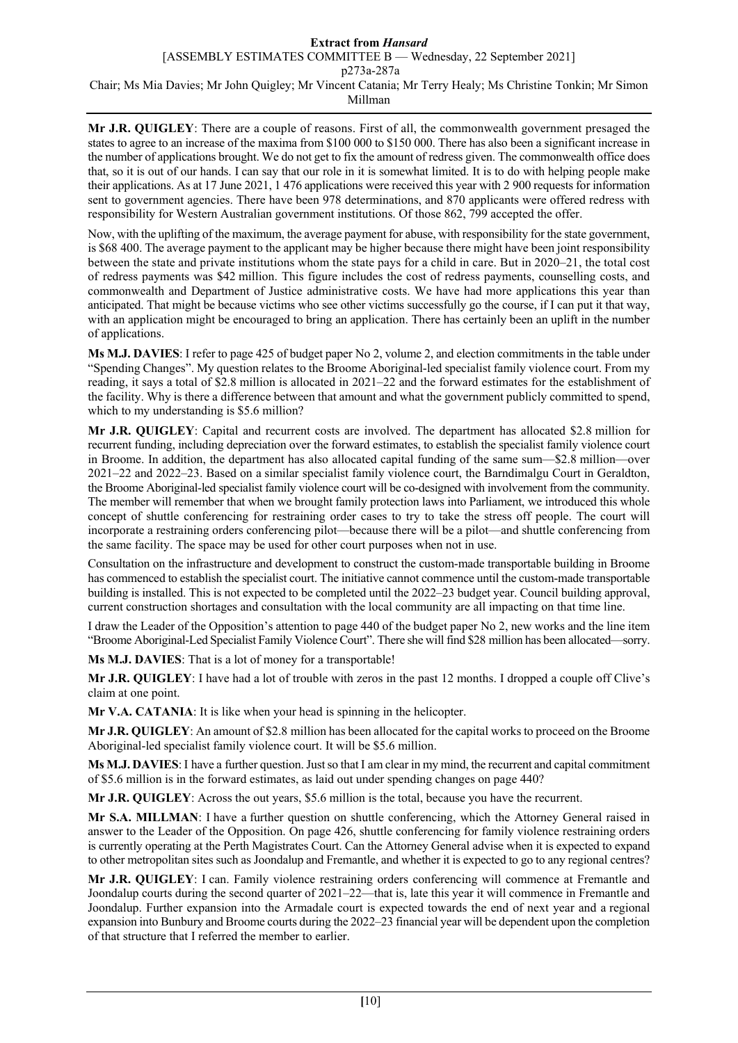#### **Extract from** *Hansard* [ASSEMBLY ESTIMATES COMMITTEE B — Wednesday, 22 September 2021]

p273a-287a

# Chair; Ms Mia Davies; Mr John Quigley; Mr Vincent Catania; Mr Terry Healy; Ms Christine Tonkin; Mr Simon Millman

**Mr J.R. QUIGLEY**: There are a couple of reasons. First of all, the commonwealth government presaged the states to agree to an increase of the maxima from \$100 000 to \$150 000. There has also been a significant increase in the number of applications brought. We do not get to fix the amount of redress given. The commonwealth office does that, so it is out of our hands. I can say that our role in it is somewhat limited. It is to do with helping people make their applications. As at 17 June 2021, 1 476 applications were received this year with 2 900 requests for information sent to government agencies. There have been 978 determinations, and 870 applicants were offered redress with responsibility for Western Australian government institutions. Of those 862, 799 accepted the offer.

Now, with the uplifting of the maximum, the average payment for abuse, with responsibility for the state government, is \$68 400. The average payment to the applicant may be higher because there might have been joint responsibility between the state and private institutions whom the state pays for a child in care. But in 2020–21, the total cost of redress payments was \$42 million. This figure includes the cost of redress payments, counselling costs, and commonwealth and Department of Justice administrative costs. We have had more applications this year than anticipated. That might be because victims who see other victims successfully go the course, if I can put it that way, with an application might be encouraged to bring an application. There has certainly been an uplift in the number of applications.

**Ms M.J. DAVIES**: I refer to page 425 of budget paper No 2, volume 2, and election commitments in the table under "Spending Changes". My question relates to the Broome Aboriginal-led specialist family violence court. From my reading, it says a total of \$2.8 million is allocated in 2021–22 and the forward estimates for the establishment of the facility. Why is there a difference between that amount and what the government publicly committed to spend, which to my understanding is \$5.6 million?

**Mr J.R. QUIGLEY**: Capital and recurrent costs are involved. The department has allocated \$2.8 million for recurrent funding, including depreciation over the forward estimates, to establish the specialist family violence court in Broome. In addition, the department has also allocated capital funding of the same sum—\$2.8 million—over 2021–22 and 2022–23. Based on a similar specialist family violence court, the Barndimalgu Court in Geraldton, the Broome Aboriginal-led specialist family violence court will be co-designed with involvement from the community. The member will remember that when we brought family protection laws into Parliament, we introduced this whole concept of shuttle conferencing for restraining order cases to try to take the stress off people. The court will incorporate a restraining orders conferencing pilot—because there will be a pilot—and shuttle conferencing from the same facility. The space may be used for other court purposes when not in use.

Consultation on the infrastructure and development to construct the custom-made transportable building in Broome has commenced to establish the specialist court. The initiative cannot commence until the custom-made transportable building is installed. This is not expected to be completed until the 2022–23 budget year. Council building approval, current construction shortages and consultation with the local community are all impacting on that time line.

I draw the Leader of the Opposition's attention to page 440 of the budget paper No 2, new works and the line item "Broome Aboriginal-Led Specialist Family Violence Court". There she will find \$28 million has been allocated—sorry.

**Ms M.J. DAVIES**: That is a lot of money for a transportable!

**Mr J.R. QUIGLEY**: I have had a lot of trouble with zeros in the past 12 months. I dropped a couple off Clive's claim at one point.

**Mr V.A. CATANIA**: It is like when your head is spinning in the helicopter.

**Mr J.R. QUIGLEY**: An amount of \$2.8 million has been allocated for the capital works to proceed on the Broome Aboriginal-led specialist family violence court. It will be \$5.6 million.

**Ms M.J. DAVIES**: I have a further question. Just so that I am clear in my mind, the recurrent and capital commitment of \$5.6 million is in the forward estimates, as laid out under spending changes on page 440?

**Mr J.R. QUIGLEY**: Across the out years, \$5.6 million is the total, because you have the recurrent.

**Mr S.A. MILLMAN**: I have a further question on shuttle conferencing, which the Attorney General raised in answer to the Leader of the Opposition. On page 426, shuttle conferencing for family violence restraining orders is currently operating at the Perth Magistrates Court. Can the Attorney General advise when it is expected to expand to other metropolitan sites such as Joondalup and Fremantle, and whether it is expected to go to any regional centres?

**Mr J.R. QUIGLEY**: I can. Family violence restraining orders conferencing will commence at Fremantle and Joondalup courts during the second quarter of 2021–22—that is, late this year it will commence in Fremantle and Joondalup. Further expansion into the Armadale court is expected towards the end of next year and a regional expansion into Bunbury and Broome courts during the 2022–23 financial year will be dependent upon the completion of that structure that I referred the member to earlier.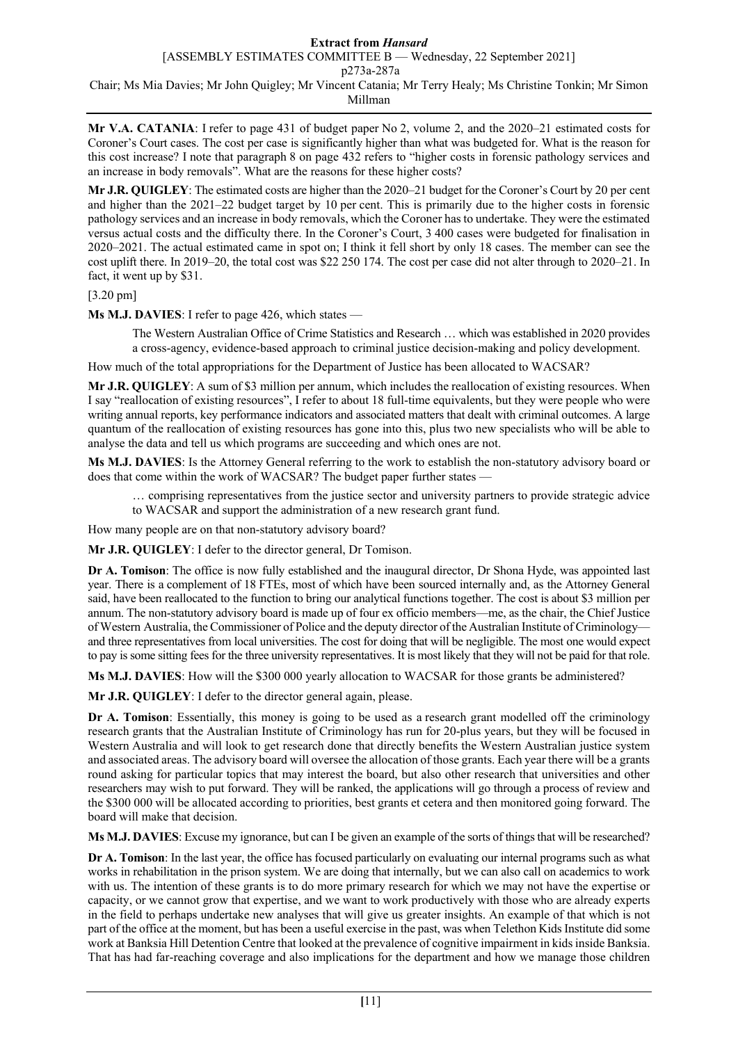#### **Extract from** *Hansard* [ASSEMBLY ESTIMATES COMMITTEE B — Wednesday, 22 September 2021]

p273a-287a

Chair; Ms Mia Davies; Mr John Quigley; Mr Vincent Catania; Mr Terry Healy; Ms Christine Tonkin; Mr Simon Millman

**Mr V.A. CATANIA**: I refer to page 431 of budget paper No 2, volume 2, and the 2020–21 estimated costs for Coroner's Court cases. The cost per case is significantly higher than what was budgeted for. What is the reason for this cost increase? I note that paragraph 8 on page 432 refers to "higher costs in forensic pathology services and an increase in body removals". What are the reasons for these higher costs?

**Mr J.R. QUIGLEY**: The estimated costs are higher than the 2020–21 budget for the Coroner's Court by 20 per cent and higher than the 2021–22 budget target by 10 per cent. This is primarily due to the higher costs in forensic pathology services and an increase in body removals, which the Coroner has to undertake. They were the estimated versus actual costs and the difficulty there. In the Coroner's Court, 3 400 cases were budgeted for finalisation in 2020–2021. The actual estimated came in spot on; I think it fell short by only 18 cases. The member can see the cost uplift there. In 2019–20, the total cost was \$22 250 174. The cost per case did not alter through to 2020–21. In fact, it went up by \$31.

[3.20 pm]

**Ms M.J. DAVIES**: I refer to page 426, which states —

The Western Australian Office of Crime Statistics and Research … which was established in 2020 provides a cross-agency, evidence-based approach to criminal justice decision-making and policy development.

How much of the total appropriations for the Department of Justice has been allocated to WACSAR?

**Mr J.R. QUIGLEY**: A sum of \$3 million per annum, which includes the reallocation of existing resources. When I say "reallocation of existing resources", I refer to about 18 full-time equivalents, but they were people who were writing annual reports, key performance indicators and associated matters that dealt with criminal outcomes. A large quantum of the reallocation of existing resources has gone into this, plus two new specialists who will be able to analyse the data and tell us which programs are succeeding and which ones are not.

**Ms M.J. DAVIES**: Is the Attorney General referring to the work to establish the non-statutory advisory board or does that come within the work of WACSAR? The budget paper further states —

… comprising representatives from the justice sector and university partners to provide strategic advice to WACSAR and support the administration of a new research grant fund.

How many people are on that non-statutory advisory board?

**Mr J.R. QUIGLEY**: I defer to the director general, Dr Tomison.

**Dr A. Tomison**: The office is now fully established and the inaugural director, Dr Shona Hyde, was appointed last year. There is a complement of 18 FTEs, most of which have been sourced internally and, as the Attorney General said, have been reallocated to the function to bring our analytical functions together. The cost is about \$3 million per annum. The non-statutory advisory board is made up of four ex officio members—me, as the chair, the Chief Justice of Western Australia, the Commissioner of Police and the deputy director of the Australian Institute of Criminology and three representatives from local universities. The cost for doing that will be negligible. The most one would expect to pay is some sitting fees for the three university representatives. It is most likely that they will not be paid for that role.

**Ms M.J. DAVIES**: How will the \$300 000 yearly allocation to WACSAR for those grants be administered?

**Mr J.R. QUIGLEY**: I defer to the director general again, please.

**Dr A. Tomison**: Essentially, this money is going to be used as a research grant modelled off the criminology research grants that the Australian Institute of Criminology has run for 20-plus years, but they will be focused in Western Australia and will look to get research done that directly benefits the Western Australian justice system and associated areas. The advisory board will oversee the allocation of those grants. Each year there will be a grants round asking for particular topics that may interest the board, but also other research that universities and other researchers may wish to put forward. They will be ranked, the applications will go through a process of review and the \$300 000 will be allocated according to priorities, best grants et cetera and then monitored going forward. The board will make that decision.

**Ms M.J. DAVIES**: Excuse my ignorance, but can I be given an example of the sorts of things that will be researched?

**Dr A. Tomison**: In the last year, the office has focused particularly on evaluating our internal programs such as what works in rehabilitation in the prison system. We are doing that internally, but we can also call on academics to work with us. The intention of these grants is to do more primary research for which we may not have the expertise or capacity, or we cannot grow that expertise, and we want to work productively with those who are already experts in the field to perhaps undertake new analyses that will give us greater insights. An example of that which is not part of the office at the moment, but has been a useful exercise in the past, was when Telethon Kids Institute did some work at Banksia Hill Detention Centre that looked at the prevalence of cognitive impairment in kids inside Banksia. That has had far-reaching coverage and also implications for the department and how we manage those children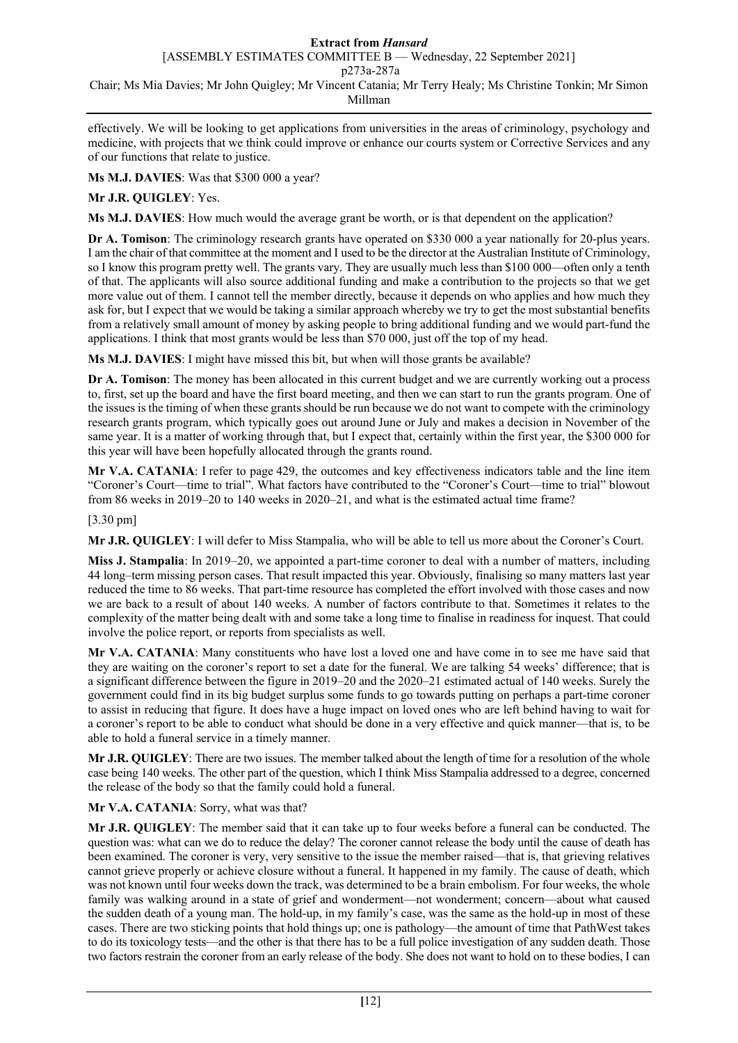# **Extract from** *Hansard* [ASSEMBLY ESTIMATES COMMITTEE B — Wednesday, 22 September 2021] p273a-287a

Chair; Ms Mia Davies; Mr John Quigley; Mr Vincent Catania; Mr Terry Healy; Ms Christine Tonkin; Mr Simon Millman

effectively. We will be looking to get applications from universities in the areas of criminology, psychology and medicine, with projects that we think could improve or enhance our courts system or Corrective Services and any of our functions that relate to justice.

**Ms M.J. DAVIES**: Was that \$300 000 a year?

# **Mr J.R. QUIGLEY**: Yes.

**Ms M.J. DAVIES**: How much would the average grant be worth, or is that dependent on the application?

**Dr A. Tomison**: The criminology research grants have operated on \$330 000 a year nationally for 20-plus years. I am the chair of that committee at the moment and I used to be the director at the Australian Institute of Criminology, so I know this program pretty well. The grants vary. They are usually much less than \$100 000—often only a tenth of that. The applicants will also source additional funding and make a contribution to the projects so that we get more value out of them. I cannot tell the member directly, because it depends on who applies and how much they ask for, but I expect that we would be taking a similar approach whereby we try to get the most substantial benefits from a relatively small amount of money by asking people to bring additional funding and we would part-fund the applications. I think that most grants would be less than \$70 000, just off the top of my head.

**Ms M.J. DAVIES**: I might have missed this bit, but when will those grants be available?

**Dr A. Tomison**: The money has been allocated in this current budget and we are currently working out a process to, first, set up the board and have the first board meeting, and then we can start to run the grants program. One of the issues is the timing of when these grants should be run because we do not want to compete with the criminology research grants program, which typically goes out around June or July and makes a decision in November of the same year. It is a matter of working through that, but I expect that, certainly within the first year, the \$300 000 for this year will have been hopefully allocated through the grants round.

**Mr V.A. CATANIA**: I refer to page 429, the outcomes and key effectiveness indicators table and the line item "Coroner's Court—time to trial". What factors have contributed to the "Coroner's Court—time to trial" blowout from 86 weeks in 2019–20 to 140 weeks in 2020–21, and what is the estimated actual time frame?

[3.30 pm]

**Mr J.R. QUIGLEY**: I will defer to Miss Stampalia, who will be able to tell us more about the Coroner's Court.

**Miss J. Stampalia**: In 2019–20, we appointed a part-time coroner to deal with a number of matters, including 44 long–term missing person cases. That result impacted this year. Obviously, finalising so many matters last year reduced the time to 86 weeks. That part-time resource has completed the effort involved with those cases and now we are back to a result of about 140 weeks. A number of factors contribute to that. Sometimes it relates to the complexity of the matter being dealt with and some take a long time to finalise in readiness for inquest. That could involve the police report, or reports from specialists as well.

**Mr V.A. CATANIA**: Many constituents who have lost a loved one and have come in to see me have said that they are waiting on the coroner's report to set a date for the funeral. We are talking 54 weeks' difference; that is a significant difference between the figure in 2019–20 and the 2020–21 estimated actual of 140 weeks. Surely the government could find in its big budget surplus some funds to go towards putting on perhaps a part-time coroner to assist in reducing that figure. It does have a huge impact on loved ones who are left behind having to wait for a coroner's report to be able to conduct what should be done in a very effective and quick manner—that is, to be able to hold a funeral service in a timely manner.

**Mr J.R. QUIGLEY**: There are two issues. The member talked about the length of time for a resolution of the whole case being 140 weeks. The other part of the question, which I think Miss Stampalia addressed to a degree, concerned the release of the body so that the family could hold a funeral.

# **Mr V.A. CATANIA**: Sorry, what was that?

**Mr J.R. QUIGLEY**: The member said that it can take up to four weeks before a funeral can be conducted. The question was: what can we do to reduce the delay? The coroner cannot release the body until the cause of death has been examined. The coroner is very, very sensitive to the issue the member raised—that is, that grieving relatives cannot grieve properly or achieve closure without a funeral. It happened in my family. The cause of death, which was not known until four weeks down the track, was determined to be a brain embolism. For four weeks, the whole family was walking around in a state of grief and wonderment—not wonderment; concern—about what caused the sudden death of a young man. The hold-up, in my family's case, was the same as the hold-up in most of these cases. There are two sticking points that hold things up; one is pathology—the amount of time that PathWest takes to do its toxicology tests—and the other is that there has to be a full police investigation of any sudden death. Those two factors restrain the coroner from an early release of the body. She does not want to hold on to these bodies, I can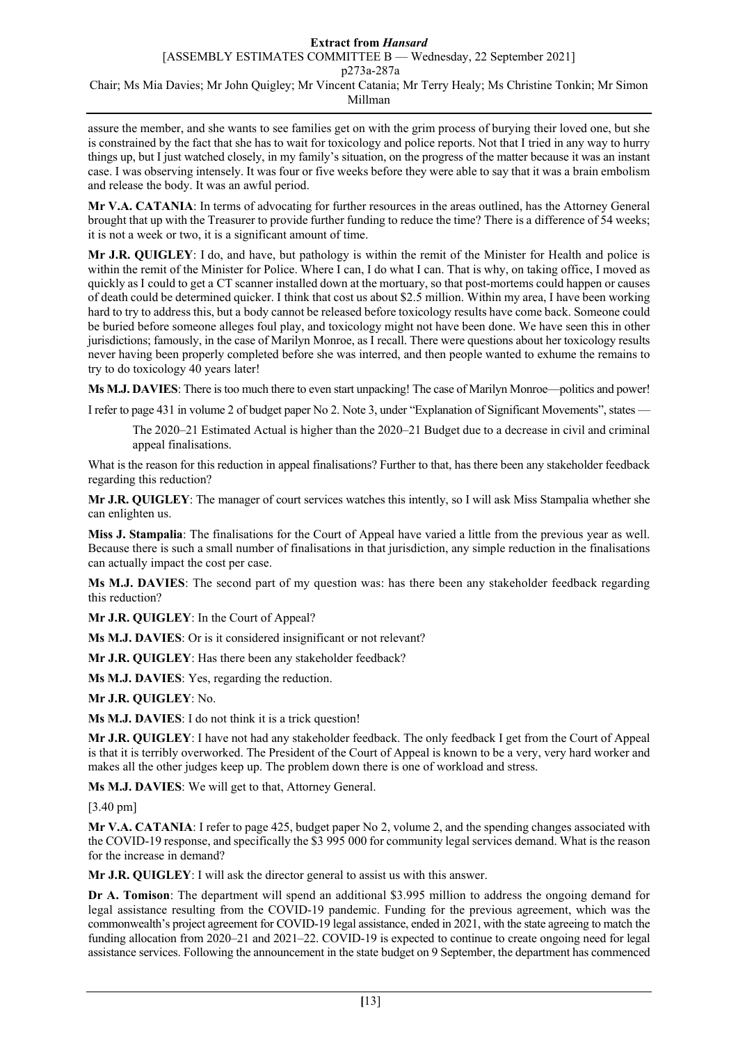assure the member, and she wants to see families get on with the grim process of burying their loved one, but she is constrained by the fact that she has to wait for toxicology and police reports. Not that I tried in any way to hurry things up, but I just watched closely, in my family's situation, on the progress of the matter because it was an instant case. I was observing intensely. It was four or five weeks before they were able to say that it was a brain embolism and release the body. It was an awful period.

**Mr V.A. CATANIA**: In terms of advocating for further resources in the areas outlined, has the Attorney General brought that up with the Treasurer to provide further funding to reduce the time? There is a difference of 54 weeks; it is not a week or two, it is a significant amount of time.

**Mr J.R. QUIGLEY**: I do, and have, but pathology is within the remit of the Minister for Health and police is within the remit of the Minister for Police. Where I can, I do what I can. That is why, on taking office, I moved as quickly as I could to get a CT scanner installed down at the mortuary, so that post-mortems could happen or causes of death could be determined quicker. I think that cost us about \$2.5 million. Within my area, I have been working hard to try to address this, but a body cannot be released before toxicology results have come back. Someone could be buried before someone alleges foul play, and toxicology might not have been done. We have seen this in other jurisdictions; famously, in the case of Marilyn Monroe, as I recall. There were questions about her toxicology results never having been properly completed before she was interred, and then people wanted to exhume the remains to try to do toxicology 40 years later!

**Ms M.J. DAVIES**: There is too much there to even start unpacking! The case of Marilyn Monroe—politics and power!

I refer to page 431 in volume 2 of budget paper No 2. Note 3, under "Explanation of Significant Movements", states —

The 2020–21 Estimated Actual is higher than the 2020–21 Budget due to a decrease in civil and criminal appeal finalisations.

What is the reason for this reduction in appeal finalisations? Further to that, has there been any stakeholder feedback regarding this reduction?

**Mr J.R. QUIGLEY**: The manager of court services watches this intently, so I will ask Miss Stampalia whether she can enlighten us.

**Miss J. Stampalia**: The finalisations for the Court of Appeal have varied a little from the previous year as well. Because there is such a small number of finalisations in that jurisdiction, any simple reduction in the finalisations can actually impact the cost per case.

**Ms M.J. DAVIES**: The second part of my question was: has there been any stakeholder feedback regarding this reduction?

**Mr J.R. QUIGLEY**: In the Court of Appeal?

**Ms M.J. DAVIES**: Or is it considered insignificant or not relevant?

**Mr J.R. QUIGLEY**: Has there been any stakeholder feedback?

**Ms M.J. DAVIES**: Yes, regarding the reduction.

**Mr J.R. QUIGLEY**: No.

**Ms M.J. DAVIES**: I do not think it is a trick question!

**Mr J.R. QUIGLEY**: I have not had any stakeholder feedback. The only feedback I get from the Court of Appeal is that it is terribly overworked. The President of the Court of Appeal is known to be a very, very hard worker and makes all the other judges keep up. The problem down there is one of workload and stress.

**Ms M.J. DAVIES**: We will get to that, Attorney General.

[3.40 pm]

**Mr V.A. CATANIA**: I refer to page 425, budget paper No 2, volume 2, and the spending changes associated with the COVID-19 response, and specifically the \$3 995 000 for community legal services demand. What is the reason for the increase in demand?

**Mr J.R. QUIGLEY**: I will ask the director general to assist us with this answer.

**Dr A. Tomison**: The department will spend an additional \$3.995 million to address the ongoing demand for legal assistance resulting from the COVID-19 pandemic. Funding for the previous agreement, which was the commonwealth's project agreement for COVID-19 legal assistance, ended in 2021, with the state agreeing to match the funding allocation from 2020–21 and 2021–22. COVID-19 is expected to continue to create ongoing need for legal assistance services. Following the announcement in the state budget on 9 September, the department has commenced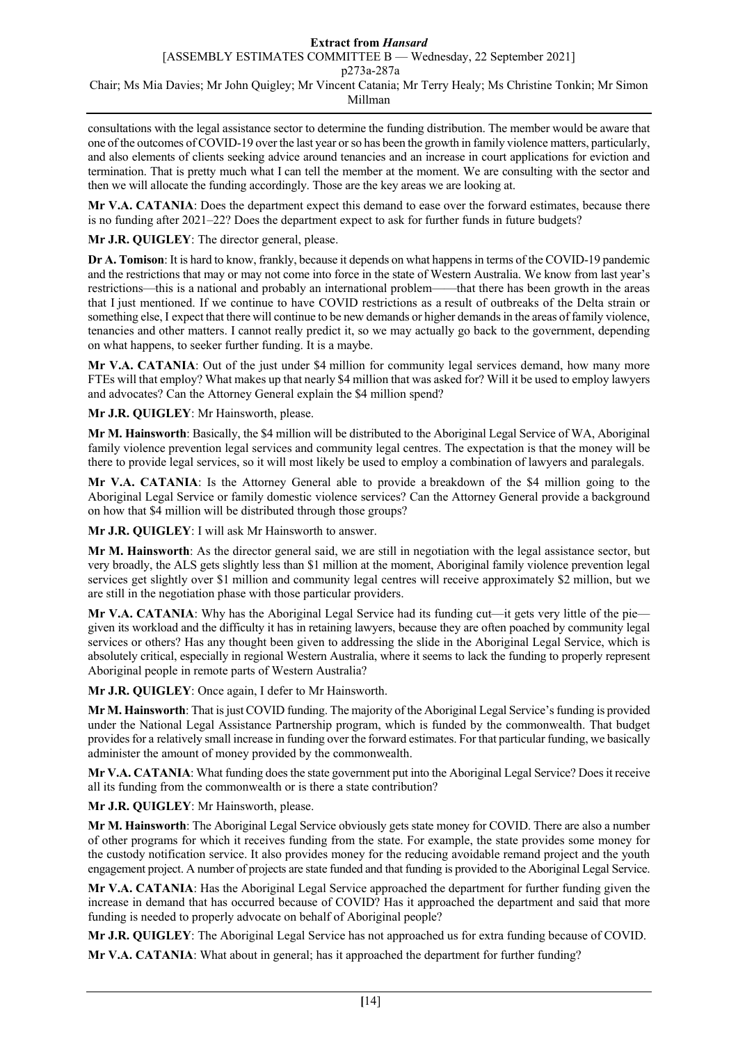consultations with the legal assistance sector to determine the funding distribution. The member would be aware that one of the outcomes of COVID-19 over the last year or so has been the growth in family violence matters, particularly, and also elements of clients seeking advice around tenancies and an increase in court applications for eviction and termination. That is pretty much what I can tell the member at the moment. We are consulting with the sector and then we will allocate the funding accordingly. Those are the key areas we are looking at.

**Mr V.A. CATANIA**: Does the department expect this demand to ease over the forward estimates, because there is no funding after 2021–22? Does the department expect to ask for further funds in future budgets?

**Mr J.R. QUIGLEY**: The director general, please.

**Dr A. Tomison**: It is hard to know, frankly, because it depends on what happens in terms of the COVID-19 pandemic and the restrictions that may or may not come into force in the state of Western Australia. We know from last year's restrictions—this is a national and probably an international problem——that there has been growth in the areas that I just mentioned. If we continue to have COVID restrictions as a result of outbreaks of the Delta strain or something else, I expect that there will continue to be new demands or higher demands in the areas of family violence, tenancies and other matters. I cannot really predict it, so we may actually go back to the government, depending on what happens, to seeker further funding. It is a maybe.

**Mr V.A. CATANIA**: Out of the just under \$4 million for community legal services demand, how many more FTEs will that employ? What makes up that nearly \$4 million that was asked for? Will it be used to employ lawyers and advocates? Can the Attorney General explain the \$4 million spend?

**Mr J.R. QUIGLEY**: Mr Hainsworth, please.

**Mr M. Hainsworth**: Basically, the \$4 million will be distributed to the Aboriginal Legal Service of WA, Aboriginal family violence prevention legal services and community legal centres. The expectation is that the money will be there to provide legal services, so it will most likely be used to employ a combination of lawyers and paralegals.

**Mr V.A. CATANIA**: Is the Attorney General able to provide a breakdown of the \$4 million going to the Aboriginal Legal Service or family domestic violence services? Can the Attorney General provide a background on how that \$4 million will be distributed through those groups?

**Mr J.R. QUIGLEY**: I will ask Mr Hainsworth to answer.

**Mr M. Hainsworth**: As the director general said, we are still in negotiation with the legal assistance sector, but very broadly, the ALS gets slightly less than \$1 million at the moment, Aboriginal family violence prevention legal services get slightly over \$1 million and community legal centres will receive approximately \$2 million, but we are still in the negotiation phase with those particular providers.

**Mr V.A. CATANIA:** Why has the Aboriginal Legal Service had its funding cut—it gets very little of the pie given its workload and the difficulty it has in retaining lawyers, because they are often poached by community legal services or others? Has any thought been given to addressing the slide in the Aboriginal Legal Service, which is absolutely critical, especially in regional Western Australia, where it seems to lack the funding to properly represent Aboriginal people in remote parts of Western Australia?

**Mr J.R. QUIGLEY**: Once again, I defer to Mr Hainsworth.

**Mr M. Hainsworth**: That is just COVID funding. The majority of the Aboriginal Legal Service's funding is provided under the National Legal Assistance Partnership program, which is funded by the commonwealth. That budget provides for a relatively small increase in funding over the forward estimates. For that particular funding, we basically administer the amount of money provided by the commonwealth.

**Mr V.A. CATANIA**: What funding does the state government put into the Aboriginal Legal Service? Does it receive all its funding from the commonwealth or is there a state contribution?

**Mr J.R. QUIGLEY**: Mr Hainsworth, please.

**Mr M. Hainsworth**: The Aboriginal Legal Service obviously gets state money for COVID. There are also a number of other programs for which it receives funding from the state. For example, the state provides some money for the custody notification service. It also provides money for the reducing avoidable remand project and the youth engagement project. A number of projects are state funded and that funding is provided to the Aboriginal Legal Service.

**Mr V.A. CATANIA**: Has the Aboriginal Legal Service approached the department for further funding given the increase in demand that has occurred because of COVID? Has it approached the department and said that more funding is needed to properly advocate on behalf of Aboriginal people?

**Mr J.R. QUIGLEY**: The Aboriginal Legal Service has not approached us for extra funding because of COVID.

**Mr V.A. CATANIA**: What about in general; has it approached the department for further funding?